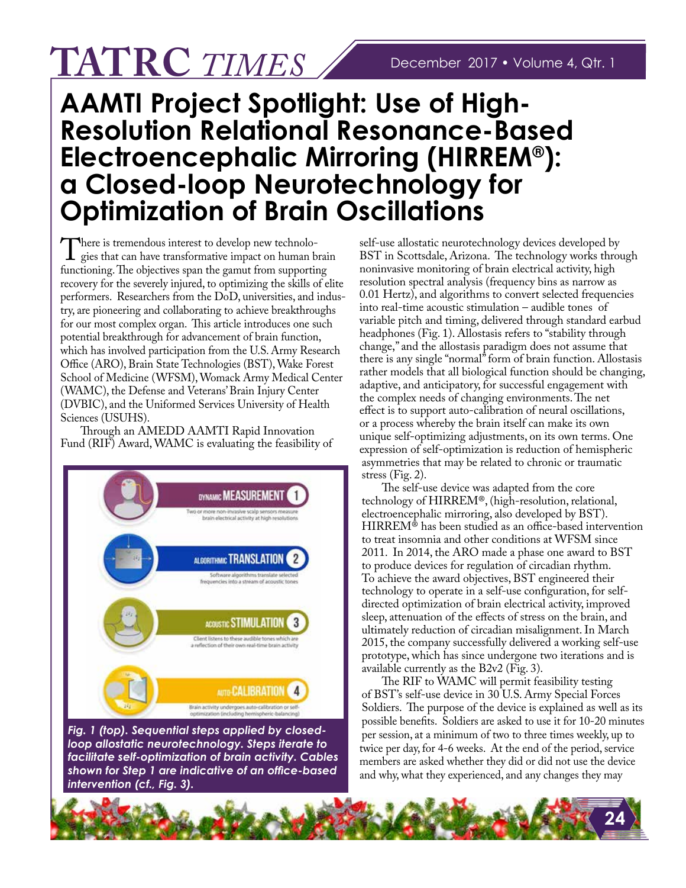## **TATRC** *TIMES*

## **AAMTI Project Spotlight: Use of High-Resolution Relational Resonance-Based Electroencephalic Mirroring (HIRREM®): a Closed-loop Neurotechnology for Optimization of Brain Oscillations**

There is tremendous interest to develop new technolo-<br>gies that can have transformative impact on human brain<br>functioning. The objectives span the gamut from supporting functioning. The objectives span the gamut from supporting recovery for the severely injured, to optimizing the skills of elite performers. Researchers from the DoD, universities, and industry, are pioneering and collaborating to achieve breakthroughs for our most complex organ. This article introduces one such potential breakthrough for advancement of brain function, which has involved participation from the U.S. Army Research Office (ARO), Brain State Technologies (BST), Wake Forest School of Medicine (WFSM), Womack Army Medical Center (WAMC), the Defense and Veterans' Brain Injury Center (DVBIC), and the Uniformed Services University of Health Sciences (USUHS).

Through an AMEDD AAMTI Rapid Innovation Fund (RIF) Award, WAMC is evaluating the feasibility of



*Fig. 1 (top). Sequential steps applied by closedloop allostatic neurotechnology. Steps iterate to facilitate self-optimization of brain activity. Cables shown for Step 1 are indicative of an offce-based intervention (cf., Fig. 3).* 

self-use allostatic neurotechnology devices developed by BST in Scottsdale, Arizona. The technology works through noninvasive monitoring of brain electrical activity, high resolution spectral analysis (frequency bins as narrow as 0.01 Hertz), and algorithms to convert selected frequencies into real-time acoustic stimulation – audible tones of variable pitch and timing, delivered through standard earbud headphones (Fig. 1). Allostasis refers to "stability through change," and the allostasis paradigm does not assume that there is any single "normal" form of brain function. Allostasis rather models that all biological function should be changing, adaptive, and anticipatory, for successful engagement with the complex needs of changing environments. The net efect is to support auto-calibration of neural oscillations, or a process whereby the brain itself can make its own unique self-optimizing adjustments, on its own terms. One expression of self-optimization is reduction of hemispheric asymmetries that may be related to chronic or traumatic stress (Fig. 2).

The self-use device was adapted from the core technology of HIRREM®, (high-resolution, relational, electroencephalic mirroring, also developed by BST).  $HIRREM^{\circledast}$  has been studied as an office-based intervention to treat insomnia and other conditions at WFSM since 2011. In 2014, the ARO made a phase one award to BST to produce devices for regulation of circadian rhythm. To achieve the award objectives, BST engineered their technology to operate in a self-use confguration, for selfdirected optimization of brain electrical activity, improved sleep, attenuation of the efects of stress on the brain, and ultimately reduction of circadian misalignment. In March 2015, the company successfully delivered a working self-use prototype, which has since undergone two iterations and is available currently as the B2v2 (Fig. 3).

The RIF to WAMC will permit feasibility testing of BST's self-use device in 30 U.S. Army Special Forces Soldiers. The purpose of the device is explained as well as its possible benefts. Soldiers are asked to use it for 10-20 minutes per session, at a minimum of two to three times weekly, up to twice per day, for 4-6 weeks. At the end of the period, service members are asked whether they did or did not use the device and why, what they experienced, and any changes they may